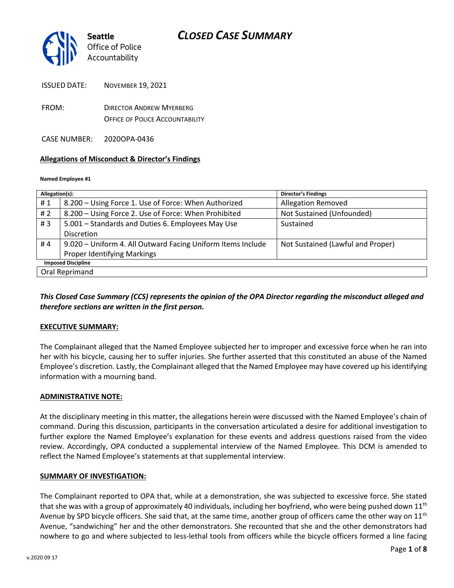

- FROM: DIRECTOR ANDREW MYERBERG OFFICE OF POLICE ACCOUNTABILITY
- CASE NUMBER: 2020OPA-0436

### **Allegations of Misconduct & Director's Findings**

#### **Named Employee #1**

| Allegation(s):            |                                                             | <b>Director's Findings</b>        |
|---------------------------|-------------------------------------------------------------|-----------------------------------|
| #1                        | 8.200 - Using Force 1. Use of Force: When Authorized        | <b>Allegation Removed</b>         |
| #2                        | 8.200 - Using Force 2. Use of Force: When Prohibited        | Not Sustained (Unfounded)         |
| #3                        | 5.001 - Standards and Duties 6. Employees May Use           | Sustained                         |
|                           | <b>Discretion</b>                                           |                                   |
| #4                        | 9.020 - Uniform 4. All Outward Facing Uniform Items Include | Not Sustained (Lawful and Proper) |
|                           | <b>Proper Identifying Markings</b>                          |                                   |
| <b>Imposed Discipline</b> |                                                             |                                   |
| Oral Reprimand            |                                                             |                                   |

### *This Closed Case Summary (CCS) represents the opinion of the OPA Director regarding the misconduct alleged and therefore sections are written in the first person.*

### **EXECUTIVE SUMMARY:**

The Complainant alleged that the Named Employee subjected her to improper and excessive force when he ran into her with his bicycle, causing her to suffer injuries. She further asserted that this constituted an abuse of the Named Employee's discretion. Lastly, the Complainant alleged that the Named Employee may have covered up his identifying information with a mourning band.

### **ADMINISTRATIVE NOTE:**

At the disciplinary meeting in this matter, the allegations herein were discussed with the Named Employee's chain of command. During this discussion, participants in the conversation articulated a desire for additional investigation to further explore the Named Employee's explanation for these events and address questions raised from the video review. Accordingly, OPA conducted a supplemental interview of the Named Employee. This DCM is amended to reflect the Named Employee's statements at that supplemental interview.

### **SUMMARY OF INVESTIGATION:**

The Complainant reported to OPA that, while at a demonstration, she was subjected to excessive force. She stated that she was with a group of approximately 40 individuals, including her boyfriend, who were being pushed down  $11<sup>th</sup>$ Avenue by SPD bicycle officers. She said that, at the same time, another group of officers came the other way on  $11<sup>th</sup>$ Avenue, "sandwiching" her and the other demonstrators. She recounted that she and the other demonstrators had nowhere to go and where subjected to less-lethal tools from officers while the bicycle officers formed a line facing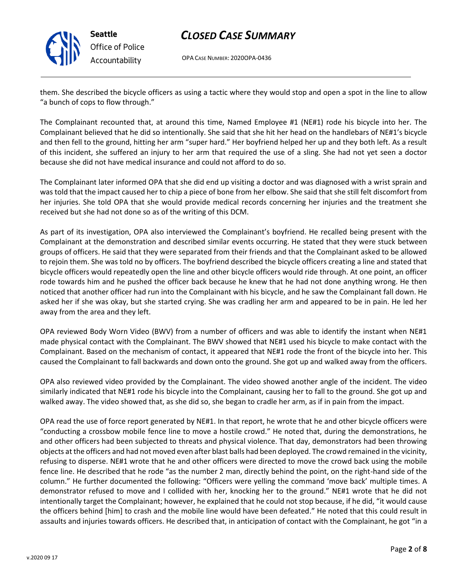

OPA CASE NUMBER: 2020OPA-0436

them. She described the bicycle officers as using a tactic where they would stop and open a spot in the line to allow "a bunch of cops to flow through."

The Complainant recounted that, at around this time, Named Employee #1 (NE#1) rode his bicycle into her. The Complainant believed that he did so intentionally. She said that she hit her head on the handlebars of NE#1's bicycle and then fell to the ground, hitting her arm "super hard." Her boyfriend helped her up and they both left. As a result of this incident, she suffered an injury to her arm that required the use of a sling. She had not yet seen a doctor because she did not have medical insurance and could not afford to do so.

The Complainant later informed OPA that she did end up visiting a doctor and was diagnosed with a wrist sprain and was told that the impact caused her to chip a piece of bone from her elbow. She said that she still felt discomfort from her injuries. She told OPA that she would provide medical records concerning her injuries and the treatment she received but she had not done so as of the writing of this DCM.

As part of its investigation, OPA also interviewed the Complainant's boyfriend. He recalled being present with the Complainant at the demonstration and described similar events occurring. He stated that they were stuck between groups of officers. He said that they were separated from their friends and that the Complainant asked to be allowed to rejoin them. She was told no by officers. The boyfriend described the bicycle officers creating a line and stated that bicycle officers would repeatedly open the line and other bicycle officers would ride through. At one point, an officer rode towards him and he pushed the officer back because he knew that he had not done anything wrong. He then noticed that another officer had run into the Complainant with his bicycle, and he saw the Complainant fall down. He asked her if she was okay, but she started crying. She was cradling her arm and appeared to be in pain. He led her away from the area and they left.

OPA reviewed Body Worn Video (BWV) from a number of officers and was able to identify the instant when NE#1 made physical contact with the Complainant. The BWV showed that NE#1 used his bicycle to make contact with the Complainant. Based on the mechanism of contact, it appeared that NE#1 rode the front of the bicycle into her. This caused the Complainant to fall backwards and down onto the ground. She got up and walked away from the officers.

OPA also reviewed video provided by the Complainant. The video showed another angle of the incident. The video similarly indicated that NE#1 rode his bicycle into the Complainant, causing her to fall to the ground. She got up and walked away. The video showed that, as she did so, she began to cradle her arm, as if in pain from the impact.

OPA read the use of force report generated by NE#1. In that report, he wrote that he and other bicycle officers were "conducting a crossbow mobile fence line to move a hostile crowd." He noted that, during the demonstrations, he and other officers had been subjected to threats and physical violence. That day, demonstrators had been throwing objects at the officers and had not moved even after blast balls had been deployed. The crowd remained in the vicinity, refusing to disperse. NE#1 wrote that he and other officers were directed to move the crowd back using the mobile fence line. He described that he rode "as the number 2 man, directly behind the point, on the right-hand side of the column." He further documented the following: "Officers were yelling the command 'move back' multiple times. A demonstrator refused to move and I collided with her, knocking her to the ground." NE#1 wrote that he did not intentionally target the Complainant; however, he explained that he could not stop because, if he did, "it would cause the officers behind [him] to crash and the mobile line would have been defeated." He noted that this could result in assaults and injuries towards officers. He described that, in anticipation of contact with the Complainant, he got "in a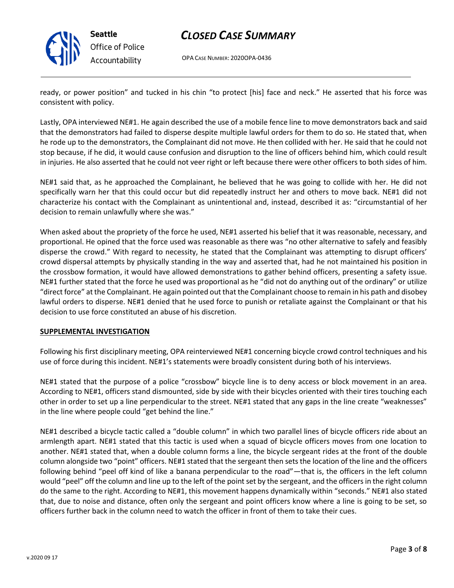

**Seattle** *Office of Police Accountability*

## *CLOSED CASE SUMMARY*

OPA CASE NUMBER: 2020OPA-0436

ready, or power position" and tucked in his chin "to protect [his] face and neck." He asserted that his force was consistent with policy.

Lastly, OPA interviewed NE#1. He again described the use of a mobile fence line to move demonstrators back and said that the demonstrators had failed to disperse despite multiple lawful orders for them to do so. He stated that, when he rode up to the demonstrators, the Complainant did not move. He then collided with her. He said that he could not stop because, if he did, it would cause confusion and disruption to the line of officers behind him, which could result in injuries. He also asserted that he could not veer right or left because there were other officers to both sides of him.

NE#1 said that, as he approached the Complainant, he believed that he was going to collide with her. He did not specifically warn her that this could occur but did repeatedly instruct her and others to move back. NE#1 did not characterize his contact with the Complainant as unintentional and, instead, described it as: "circumstantial of her decision to remain unlawfully where she was."

When asked about the propriety of the force he used, NE#1 asserted his belief that it was reasonable, necessary, and proportional. He opined that the force used was reasonable as there was "no other alternative to safely and feasibly disperse the crowd." With regard to necessity, he stated that the Complainant was attempting to disrupt officers' crowd dispersal attempts by physically standing in the way and asserted that, had he not maintained his position in the crossbow formation, it would have allowed demonstrations to gather behind officers, presenting a safety issue. NE#1 further stated that the force he used was proportional as he "did not do anything out of the ordinary" or utilize "direct force" at the Complainant. He again pointed out that the Complainant choose to remain in his path and disobey lawful orders to disperse. NE#1 denied that he used force to punish or retaliate against the Complainant or that his decision to use force constituted an abuse of his discretion.

### **SUPPLEMENTAL INVESTIGATION**

Following his first disciplinary meeting, OPA reinterviewed NE#1 concerning bicycle crowd control techniques and his use of force during this incident. NE#1's statements were broadly consistent during both of his interviews.

NE#1 stated that the purpose of a police "crossbow" bicycle line is to deny access or block movement in an area. According to NE#1, officers stand dismounted, side by side with their bicycles oriented with their tires touching each other in order to set up a line perpendicular to the street. NE#1 stated that any gaps in the line create "weaknesses" in the line where people could "get behind the line."

NE#1 described a bicycle tactic called a "double column" in which two parallel lines of bicycle officers ride about an armlength apart. NE#1 stated that this tactic is used when a squad of bicycle officers moves from one location to another. NE#1 stated that, when a double column forms a line, the bicycle sergeant rides at the front of the double column alongside two "point" officers. NE#1 stated that the sergeant then sets the location of the line and the officers following behind "peel off kind of like a banana perpendicular to the road"—that is, the officers in the left column would "peel" off the column and line up to the left of the point set by the sergeant, and the officers in the right column do the same to the right. According to NE#1, this movement happens dynamically within "seconds." NE#1 also stated that, due to noise and distance, often only the sergeant and point officers know where a line is going to be set, so officers further back in the column need to watch the officer in front of them to take their cues.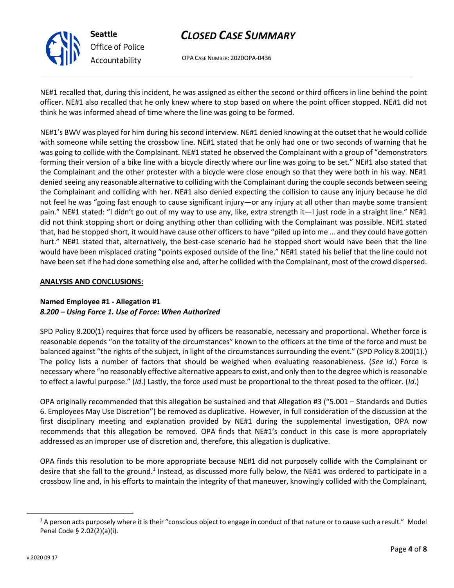

**Seattle** *Office of Police Accountability*

# *CLOSED CASE SUMMARY*

OPA CASE NUMBER: 2020OPA-0436

NE#1 recalled that, during this incident, he was assigned as either the second or third officers in line behind the point officer. NE#1 also recalled that he only knew where to stop based on where the point officer stopped. NE#1 did not think he was informed ahead of time where the line was going to be formed.

NE#1's BWV was played for him during his second interview. NE#1 denied knowing at the outset that he would collide with someone while setting the crossbow line. NE#1 stated that he only had one or two seconds of warning that he was going to collide with the Complainant. NE#1 stated he observed the Complainant with a group of "demonstrators forming their version of a bike line with a bicycle directly where our line was going to be set." NE#1 also stated that the Complainant and the other protester with a bicycle were close enough so that they were both in his way. NE#1 denied seeing any reasonable alternative to colliding with the Complainant during the couple seconds between seeing the Complainant and colliding with her. NE#1 also denied expecting the collision to cause any injury because he did not feel he was "going fast enough to cause significant injury—or any injury at all other than maybe some transient pain." NE#1 stated: "I didn't go out of my way to use any, like, extra strength it—I just rode in a straight line." NE#1 did not think stopping short or doing anything other than colliding with the Complainant was possible. NE#1 stated that, had he stopped short, it would have cause other officers to have "piled up into me … and they could have gotten hurt." NE#1 stated that, alternatively, the best-case scenario had he stopped short would have been that the line would have been misplaced crating "points exposed outside of the line." NE#1 stated his belief that the line could not have been set if he had done something else and, after he collided with the Complainant, most of the crowd dispersed.

### **ANALYSIS AND CONCLUSIONS:**

### **Named Employee #1 - Allegation #1** *8.200 – Using Force 1. Use of Force: When Authorized*

SPD Policy 8.200(1) requires that force used by officers be reasonable, necessary and proportional. Whether force is reasonable depends "on the totality of the circumstances" known to the officers at the time of the force and must be balanced against "the rights of the subject, in light of the circumstances surrounding the event." (SPD Policy 8.200(1).) The policy lists a number of factors that should be weighed when evaluating reasonableness. (*See id*.) Force is necessary where "no reasonably effective alternative appears to exist, and only then to the degree which is reasonable to effect a lawful purpose." (*Id*.) Lastly, the force used must be proportional to the threat posed to the officer. (*Id*.)

OPA originally recommended that this allegation be sustained and that Allegation #3 ("5.001 – Standards and Duties 6. Employees May Use Discretion") be removed as duplicative. However, in full consideration of the discussion at the first disciplinary meeting and explanation provided by NE#1 during the supplemental investigation, OPA now recommends that this allegation be removed. OPA finds that NE#1's conduct in this case is more appropriately addressed as an improper use of discretion and, therefore, this allegation is duplicative.

OPA finds this resolution to be more appropriate because NE#1 did not purposely collide with the Complainant or desire that she fall to the ground.<sup>1</sup> Instead, as discussed more fully below, the NE#1 was ordered to participate in a crossbow line and, in his efforts to maintain the integrity of that maneuver, knowingly collided with the Complainant,

 $1A$  person acts purposely where it is their "conscious object to engage in conduct of that nature or to cause such a result." Model Penal Code § 2.02(2)(a)(i).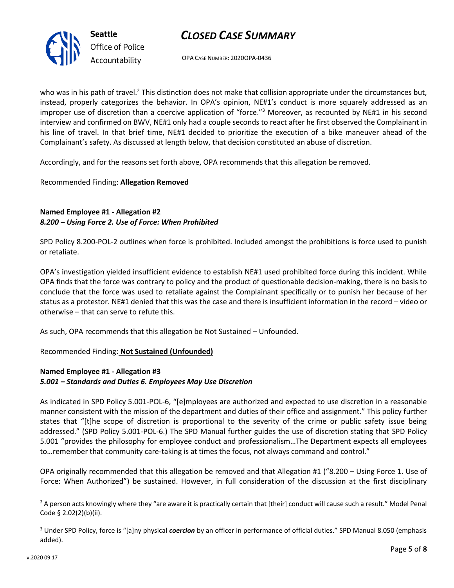OPA CASE NUMBER: 2020OPA-0436

who was in his path of travel.<sup>2</sup> This distinction does not make that collision appropriate under the circumstances but, instead, properly categorizes the behavior. In OPA's opinion, NE#1's conduct is more squarely addressed as an improper use of discretion than a coercive application of "force."<sup>3</sup> Moreover, as recounted by NE#1 in his second interview and confirmed on BWV, NE#1 only had a couple seconds to react after he first observed the Complainant in his line of travel. In that brief time, NE#1 decided to prioritize the execution of a bike maneuver ahead of the Complainant's safety. As discussed at length below, that decision constituted an abuse of discretion.

Accordingly, and for the reasons set forth above, OPA recommends that this allegation be removed.

### Recommended Finding: **Allegation Removed**

**Seattle**

*Office of Police Accountability*

### **Named Employee #1 - Allegation #2** *8.200 – Using Force 2. Use of Force: When Prohibited*

SPD Policy 8.200-POL-2 outlines when force is prohibited. Included amongst the prohibitions is force used to punish or retaliate.

OPA's investigation yielded insufficient evidence to establish NE#1 used prohibited force during this incident. While OPA finds that the force was contrary to policy and the product of questionable decision-making, there is no basis to conclude that the force was used to retaliate against the Complainant specifically or to punish her because of her status as a protestor. NE#1 denied that this was the case and there is insufficient information in the record – video or otherwise – that can serve to refute this.

As such, OPA recommends that this allegation be Not Sustained – Unfounded.

# Recommended Finding: **Not Sustained (Unfounded)**

### **Named Employee #1 - Allegation #3** *5.001 – Standards and Duties 6. Employees May Use Discretion*

As indicated in SPD Policy 5.001-POL-6, "[e]mployees are authorized and expected to use discretion in a reasonable manner consistent with the mission of the department and duties of their office and assignment." This policy further states that "[t]he scope of discretion is proportional to the severity of the crime or public safety issue being addressed." (SPD Policy 5.001-POL-6.) The SPD Manual further guides the use of discretion stating that SPD Policy 5.001 "provides the philosophy for employee conduct and professionalism…The Department expects all employees to…remember that community care-taking is at times the focus, not always command and control."

OPA originally recommended that this allegation be removed and that Allegation #1 ("8.200 – Using Force 1. Use of Force: When Authorized") be sustained. However, in full consideration of the discussion at the first disciplinary

 $2$  A person acts knowingly where they "are aware it is practically certain that [their] conduct will cause such a result." Model Penal Code § 2.02(2)(b)(ii).

<sup>3</sup> Under SPD Policy, force is "[a]ny physical *coercion* by an officer in performance of official duties." SPD Manual 8.050 (emphasis added).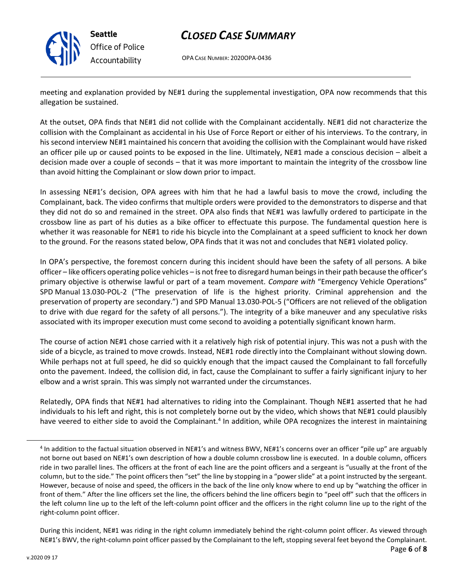

OPA CASE NUMBER: 2020OPA-0436

meeting and explanation provided by NE#1 during the supplemental investigation, OPA now recommends that this allegation be sustained.

At the outset, OPA finds that NE#1 did not collide with the Complainant accidentally. NE#1 did not characterize the collision with the Complainant as accidental in his Use of Force Report or either of his interviews. To the contrary, in his second interview NE#1 maintained his concern that avoiding the collision with the Complainant would have risked an officer pile up or caused points to be exposed in the line. Ultimately, NE#1 made a conscious decision – albeit a decision made over a couple of seconds – that it was more important to maintain the integrity of the crossbow line than avoid hitting the Complainant or slow down prior to impact.

In assessing NE#1's decision, OPA agrees with him that he had a lawful basis to move the crowd, including the Complainant, back. The video confirms that multiple orders were provided to the demonstrators to disperse and that they did not do so and remained in the street. OPA also finds that NE#1 was lawfully ordered to participate in the crossbow line as part of his duties as a bike officer to effectuate this purpose. The fundamental question here is whether it was reasonable for NE#1 to ride his bicycle into the Complainant at a speed sufficient to knock her down to the ground. For the reasons stated below, OPA finds that it was not and concludes that NE#1 violated policy.

In OPA's perspective, the foremost concern during this incident should have been the safety of all persons. A bike officer – like officers operating police vehicles – is not free to disregard human beings in their path because the officer's primary objective is otherwise lawful or part of a team movement. *Compare with* "Emergency Vehicle Operations" SPD Manual 13.030-POL-2 ("The preservation of life is the highest priority. Criminal apprehension and the preservation of property are secondary.") and SPD Manual 13.030-POL-5 ("Officers are not relieved of the obligation to drive with due regard for the safety of all persons."). The integrity of a bike maneuver and any speculative risks associated with its improper execution must come second to avoiding a potentially significant known harm.

The course of action NE#1 chose carried with it a relatively high risk of potential injury. This was not a push with the side of a bicycle, as trained to move crowds. Instead, NE#1 rode directly into the Complainant without slowing down. While perhaps not at full speed, he did so quickly enough that the impact caused the Complainant to fall forcefully onto the pavement. Indeed, the collision did, in fact, cause the Complainant to suffer a fairly significant injury to her elbow and a wrist sprain. This was simply not warranted under the circumstances.

Relatedly, OPA finds that NE#1 had alternatives to riding into the Complainant. Though NE#1 asserted that he had individuals to his left and right, this is not completely borne out by the video, which shows that NE#1 could plausibly have veered to either side to avoid the Complainant.<sup>4</sup> In addition, while OPA recognizes the interest in maintaining

<sup>&</sup>lt;sup>4</sup> In addition to the factual situation observed in NE#1's and witness BWV, NE#1's concerns over an officer "pile up" are arguably not borne out based on NE#1's own description of how a double column crossbow line is executed. In a double column, officers ride in two parallel lines. The officers at the front of each line are the point officers and a sergeant is "usually at the front of the column, but to the side." The point officers then "set" the line by stopping in a "power slide" at a point instructed by the sergeant. However, because of noise and speed, the officers in the back of the line only know where to end up by "watching the officer in front of them." After the line officers set the line, the officers behind the line officers begin to "peel off" such that the officers in the left column line up to the left of the left-column point officer and the officers in the right column line up to the right of the right-column point officer.

During this incident, NE#1 was riding in the right column immediately behind the right-column point officer. As viewed through NE#1's BWV, the right-column point officer passed by the Complainant to the left, stopping several feet beyond the Complainant.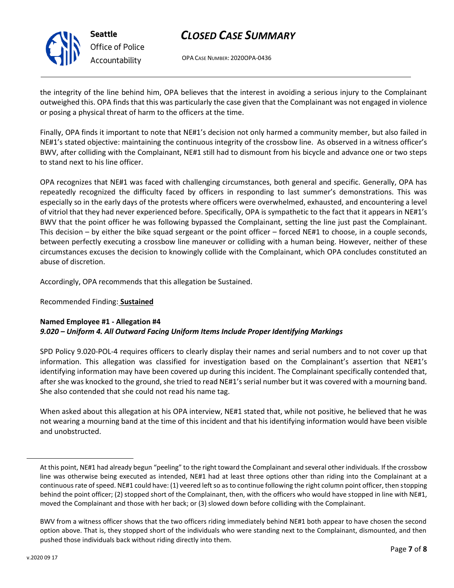

# *Office of Police Accountability*

# *CLOSED CASE SUMMARY*

OPA CASE NUMBER: 2020OPA-0436

the integrity of the line behind him, OPA believes that the interest in avoiding a serious injury to the Complainant outweighed this. OPA finds that this was particularly the case given that the Complainant was not engaged in violence or posing a physical threat of harm to the officers at the time.

Finally, OPA finds it important to note that NE#1's decision not only harmed a community member, but also failed in NE#1's stated objective: maintaining the continuous integrity of the crossbow line. As observed in a witness officer's BWV, after colliding with the Complainant, NE#1 still had to dismount from his bicycle and advance one or two steps to stand next to his line officer.

OPA recognizes that NE#1 was faced with challenging circumstances, both general and specific. Generally, OPA has repeatedly recognized the difficulty faced by officers in responding to last summer's demonstrations. This was especially so in the early days of the protests where officers were overwhelmed, exhausted, and encountering a level of vitriol that they had never experienced before. Specifically, OPA is sympathetic to the fact that it appears in NE#1's BWV that the point officer he was following bypassed the Complainant, setting the line just past the Complainant. This decision – by either the bike squad sergeant or the point officer – forced NE#1 to choose, in a couple seconds, between perfectly executing a crossbow line maneuver or colliding with a human being. However, neither of these circumstances excuses the decision to knowingly collide with the Complainant, which OPA concludes constituted an abuse of discretion.

Accordingly, OPA recommends that this allegation be Sustained.

### Recommended Finding: **Sustained**

### **Named Employee #1 - Allegation #4** *9.020 – Uniform 4. All Outward Facing Uniform Items Include Proper Identifying Markings*

SPD Policy 9.020-POL-4 requires officers to clearly display their names and serial numbers and to not cover up that information. This allegation was classified for investigation based on the Complainant's assertion that NE#1's identifying information may have been covered up during this incident. The Complainant specifically contended that, after she was knocked to the ground, she tried to read NE#1's serial number but it was covered with a mourning band. She also contended that she could not read his name tag.

When asked about this allegation at his OPA interview, NE#1 stated that, while not positive, he believed that he was not wearing a mourning band at the time of this incident and that his identifying information would have been visible and unobstructed.

At this point, NE#1 had already begun "peeling" to the right toward the Complainant and several other individuals. If the crossbow line was otherwise being executed as intended, NE#1 had at least three options other than riding into the Complainant at a continuous rate of speed. NE#1 could have: (1) veered left so as to continue following the right column point officer, then stopping behind the point officer; (2) stopped short of the Complainant, then, with the officers who would have stopped in line with NE#1, moved the Complainant and those with her back; or (3) slowed down before colliding with the Complainant.

BWV from a witness officer shows that the two officers riding immediately behind NE#1 both appear to have chosen the second option above. That is, they stopped short of the individuals who were standing next to the Complainant, dismounted, and then pushed those individuals back without riding directly into them.